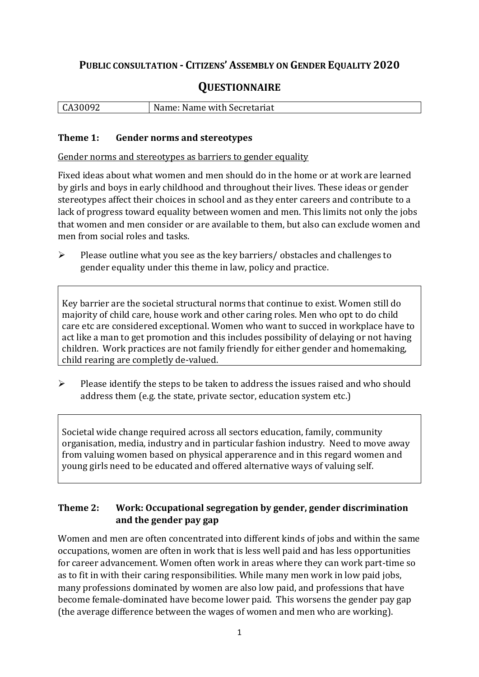## **PUBLIC CONSULTATION - CITIZENS' ASSEMBLY ON GENDER EQUALITY 2020**

# **QUESTIONNAIRE**

| CA30092 | Name: N<br>Name with Secretariat |
|---------|----------------------------------|
|         |                                  |

#### **Theme 1: Gender norms and stereotypes**

Gender norms and stereotypes as barriers to gender equality

Fixed ideas about what women and men should do in the home or at work are learned by girls and boys in early childhood and throughout their lives. These ideas or gender stereotypes affect their choices in school and as they enter careers and contribute to a lack of progress toward equality between women and men. This limits not only the jobs that women and men consider or are available to them, but also can exclude women and men from social roles and tasks.

➢ Please outline what you see as the key barriers/ obstacles and challenges to gender equality under this theme in law, policy and practice.

Key barrier are the societal structural norms that continue to exist. Women still do majority of child care, house work and other caring roles. Men who opt to do child care etc are considered exceptional. Women who want to succed in workplace have to act like a man to get promotion and this includes possibility of delaying or not having children. Work practices are not family friendly for either gender and homemaking, child rearing are completly de-valued.

➢ Please identify the steps to be taken to address the issues raised and who should address them (e.g. the state, private sector, education system etc.)

Societal wide change required across all sectors education, family, community organisation, media, industry and in particular fashion industry. Need to move away from valuing women based on physical apperarence and in this regard women and young girls need to be educated and offered alternative ways of valuing self.

### **Theme 2: Work: Occupational segregation by gender, gender discrimination and the gender pay gap**

Women and men are often concentrated into different kinds of jobs and within the same occupations, women are often in work that is less well paid and has less opportunities for career advancement. Women often work in areas where they can work part-time so as to fit in with their caring responsibilities. While many men work in low paid jobs, many professions dominated by women are also low paid, and professions that have become female-dominated have become lower paid. This worsens the gender pay gap (the average difference between the wages of women and men who are working).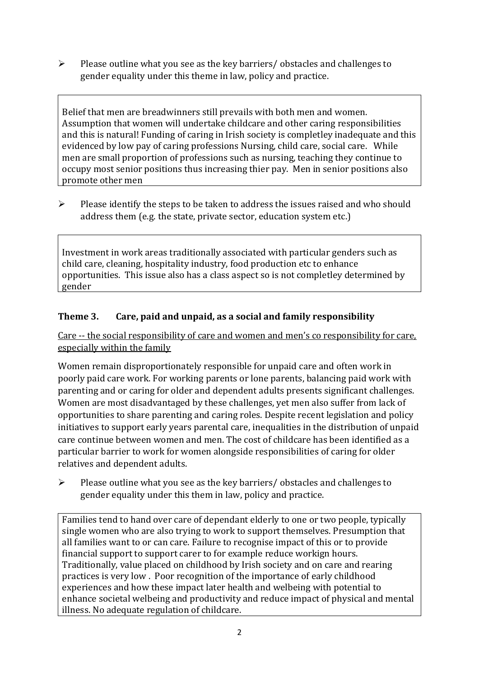➢ Please outline what you see as the key barriers/ obstacles and challenges to gender equality under this theme in law, policy and practice.

Belief that men are breadwinners still prevails with both men and women. Assumption that women will undertake childcare and other caring responsibilities and this is natural! Funding of caring in Irish society is completley inadequate and this evidenced by low pay of caring professions Nursing, child care, social care. While men are small proportion of professions such as nursing, teaching they continue to occupy most senior positions thus increasing thier pay. Men in senior positions also promote other men

➢ Please identify the steps to be taken to address the issues raised and who should address them (e.g. the state, private sector, education system etc.)

Investment in work areas traditionally associated with particular genders such as child care, cleaning, hospitality industry, food production etc to enhance opportunities. This issue also has a class aspect so is not completley determined by gender

## **Theme 3. Care, paid and unpaid, as a social and family responsibility**

Care -- the social responsibility of care and women and men's co responsibility for care, especially within the family

Women remain disproportionately responsible for unpaid care and often work in poorly paid care work. For working parents or [lone parents,](https://aran.library.nuigalway.ie/bitstream/handle/10379/6044/Millar_and_Crosse_Activation_Report.pdf?sequence=1&isAllowed=y) balancing paid work with parenting and or caring for older and dependent adults presents significant challenges. Women are [most disadvantaged by these challenges,](https://eige.europa.eu/gender-equality-index/game/IE/W) yet men also suffer from lack of opportunities to share parenting and caring roles. Despite recent legislation and policy initiatives to support early years parental care, [inequalities in the distribution of unpaid](https://www.ihrec.ie/app/uploads/2019/07/Caring-and-Unpaid-Work-in-Ireland_Final.pdf)  [care](https://www.ihrec.ie/app/uploads/2019/07/Caring-and-Unpaid-Work-in-Ireland_Final.pdf) continue between women and men. The cost of childcare has been identified as a particular barrier to work for women alongside responsibilities of caring for older relatives and dependent adults.

➢ Please outline what you see as the key barriers/ obstacles and challenges to gender equality under this them in law, policy and practice.

Families tend to hand over care of dependant elderly to one or two people, typically single women who are also trying to work to support themselves. Presumption that all families want to or can care. Failure to recognise impact of this or to provide financial support to support carer to for example reduce workign hours. Traditionally, value placed on childhood by Irish society and on care and rearing practices is very low . Poor recognition of the importance of early childhood experiences and how these impact later health and welbeing with potential to enhance societal welbeing and productivity and reduce impact of physical and mental illness. No adequate regulation of childcare.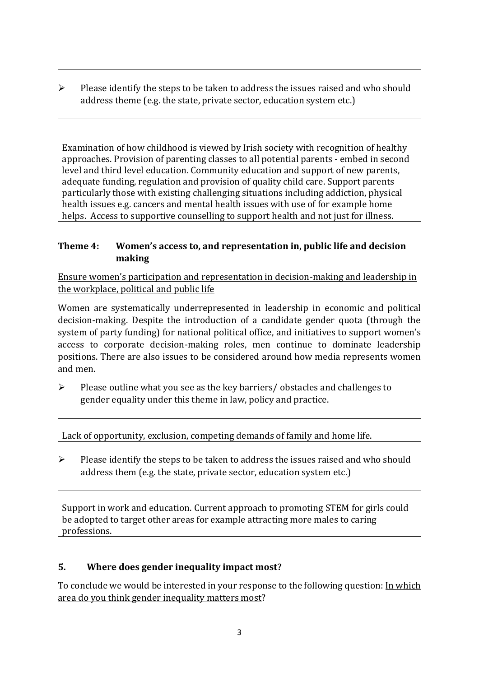$\triangleright$  Please identify the steps to be taken to address the issues raised and who should address theme (e.g. the state, private sector, education system etc.)

Examination of how childhood is viewed by Irish society with recognition of healthy approaches. Provision of parenting classes to all potential parents - embed in second level and third level education. Community education and support of new parents, adequate funding, regulation and provision of quality child care. Support parents particularly those with existing challenging situations including addiction, physical health issues e.g. cancers and mental health issues with use of for example home helps. Access to supportive counselling to support health and not just for illness.

## **Theme 4: Women's access to, and representation in, public life and decision making**

Ensure women's participation and representation in decision-making and leadership in the workplace, political and public life

Women are systematically underrepresented in leadership in [economic](https://eige.europa.eu/gender-equality-index/2019/compare-countries/power/2/bar) and [political](https://eige.europa.eu/gender-equality-index/2019/compare-countries/power/1/bar)  [decision-](https://eige.europa.eu/gender-equality-index/2019/compare-countries/power/1/bar)making. Despite the introduction of a candidate gender quota (through the system of party funding) for national political office, and [initiatives](https://betterbalance.ie/) to support women's access to corporate decision-making roles, men continue to dominate leadership positions. There are also issues to be considered around how media represents women and men.

➢ Please outline what you see as the key barriers/ obstacles and challenges to gender equality under this theme in law, policy and practice.

Lack of opportunity, exclusion, competing demands of family and home life.

➢ Please identify the steps to be taken to address the issues raised and who should address them (e.g. the state, private sector, education system etc.)

Support in work and education. Current approach to promoting STEM for girls could be adopted to target other areas for example attracting more males to caring professions.

## **5. Where does gender inequality impact most?**

To conclude we would be interested in your response to the following question: In which area do you think gender inequality matters most?